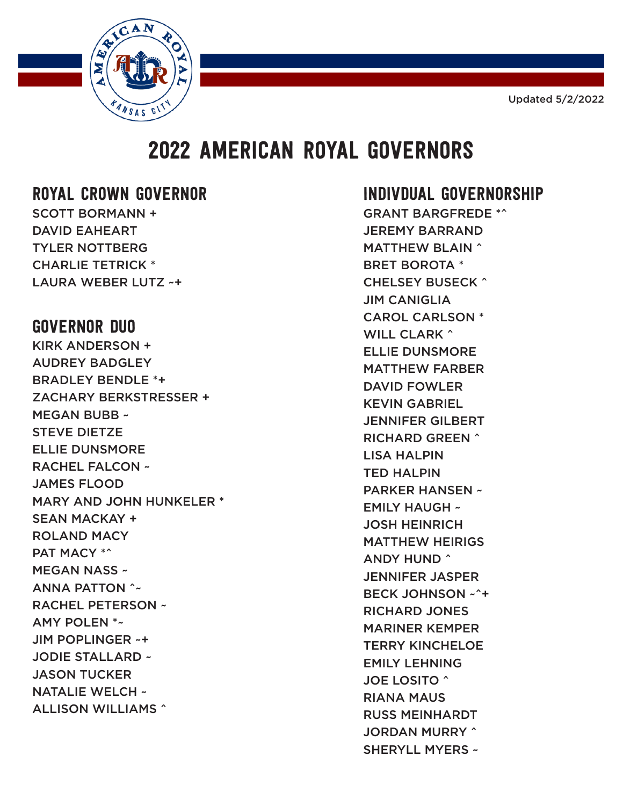Updated 5/2/2022



# 2022 AMERICAN ROYAL GOVERNORS

#### ROYAL CROWN GOVERNOR

SCOTT BORMANN + DAVID EAHEART TYLER NOTTBERG CHARLIE TETRICK \* LAURA WEBER LUTZ ~+

### GOVERNOR DUO

KIRK ANDERSON + AUDREY BADGLEY BRADLEY BENDLE \*+ ZACHARY BERKSTRESSER + MEGAN BUBB ~ STEVE DIETZE ELLIE DUNSMORE RACHEL FALCON ~ JAMES FLOOD MARY AND JOHN HUNKELER \* SEAN MACKAY + ROLAND MACY PAT MACY \*^ MEGAN NASS ~ ANNA PATTON ^~ RACHEL PETERSON ~ AMY POLEN \*~ JIM POPLINGER ~+ JODIE STALLARD ~ JASON TUCKER NATALIE WELCH ~ ALLISON WILLIAMS ^

## INDIVDUAL GOVERNORSHIP

GRANT BARGFREDE \*^ JEREMY BARRAND MATTHEW BLAIN ^ BRET BOROTA \* CHELSEY BUSECK ^ JIM CANIGLIA CAROL CARLSON \* WILL CLARK ^ ELLIE DUNSMORE MATTHEW FARBER DAVID FOWLER KEVIN GABRIEL JENNIFER GILBERT RICHARD GREEN ^ LISA HALPIN TED HALPIN PARKER HANSEN ~ EMILY HAUGH ~ JOSH HEINRICH MATTHEW HEIRIGS ANDY HUND ^ JENNIFER JASPER BECK JOHNSON ~^+ RICHARD JONES MARINER KEMPER TERRY KINCHELOE EMILY LEHNING JOE LOSITO ^ RIANA MAUS RUSS MEINHARDT JORDAN MURRY ^ SHERYLL MYERS ~